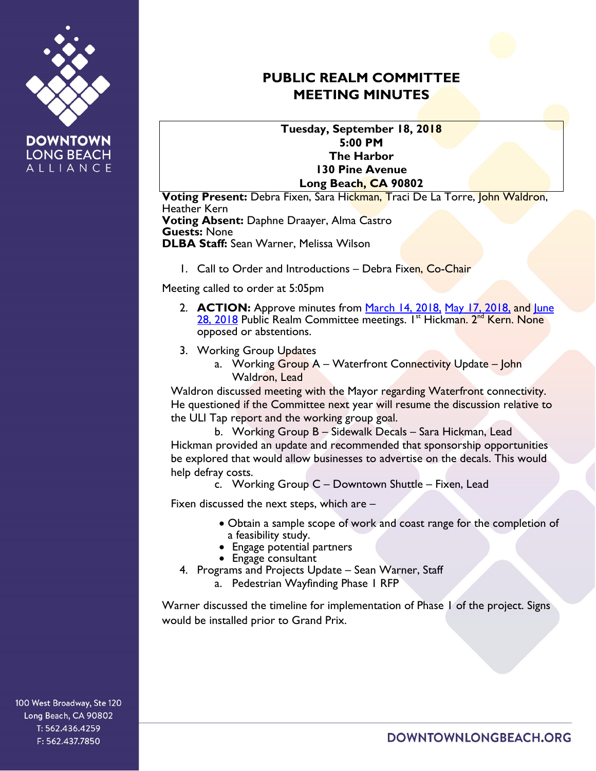

**DOWNTOWN LONG BEACH** ALLIANCE

## **PUBLIC REALM COMMITTEE MEETING MINUTES**

**Tuesday, September 18, 2018 5:00 PM The Harbor 130 Pine Avenue Long Beach, CA 90802**

**Voting Present:** Debra Fixen, Sara Hickman, Traci De La Torre, John Waldron, Heather Kern **Voting Absent:** Daphne Draayer, Alma Castro **Guests:** None **DLBA Staff:** Sean Warner, Melissa Wilson

1. Call to Order and Introductions – Debra Fixen, Co-Chair

Meeting called to order at 5:05pm

- 2. **ACTION:** Approve minutes from <u>March 14, 2018, [May 17, 2018,](https://downtownlongbeach.org/wp-content/uploads/Public-Realm-05-17-18-Minutes.pdf)</u> and June [28, 2018](https://downtownlongbeach.org/wp-content/uploads/Public-Realm-06-28-18-Minutes.pdf) Public Realm Committee meetings. I<sup>st</sup> Hickman. 2<sup>nd</sup> Kern. None opposed or abstentions.
- 3. Working Group Updates
	- a. Working Group A Waterfront Connectivity Update John Waldron, Lead

Waldron discussed meeting with the Mayor regarding Waterfront connectivity. He questioned if the Committee next year will resume the discussion relative to the ULI Tap report and the working group goal.

b. Working Group B – Sidewalk Decals – Sara Hickman, Lead Hickman provided an update and recommended that sponsorship opportunities be explored that would allow businesses to advertise on the decals. This would help defray costs.

c. Working Group C – Downtown Shuttle – Fixen, Lead

Fixen discussed the next steps, which are –

- Obtain a sample scope of work and coast range for the completion of a feasibility study.
- Engage potential partners
- Engage consultant
- 4. Programs and Projects Update Sean Warner, Staff
	- a. Pedestrian Wayfinding Phase 1 RFP

Warner discussed the timeline for implementation of Phase 1 of the project. Signs would be installed prior to Grand Prix.

100 West Broadway, Ste 120 Long Beach, CA 90802 T: 562.436.4259 F: 562.437.7850

DOWNTOWNLONGBEACH.ORG